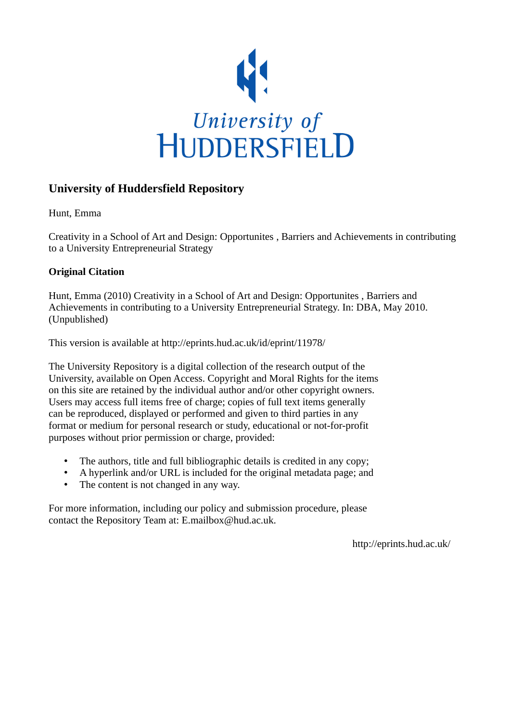

# **University of Huddersfield Repository**

Hunt, Emma

Creativity in a School of Art and Design: Opportunites , Barriers and Achievements in contributing to a University Entrepreneurial Strategy

## **Original Citation**

Hunt, Emma (2010) Creativity in a School of Art and Design: Opportunites , Barriers and Achievements in contributing to a University Entrepreneurial Strategy. In: DBA, May 2010. (Unpublished)

This version is available at http://eprints.hud.ac.uk/id/eprint/11978/

The University Repository is a digital collection of the research output of the University, available on Open Access. Copyright and Moral Rights for the items on this site are retained by the individual author and/or other copyright owners. Users may access full items free of charge; copies of full text items generally can be reproduced, displayed or performed and given to third parties in any format or medium for personal research or study, educational or not-for-profit purposes without prior permission or charge, provided:

- The authors, title and full bibliographic details is credited in any copy;
- A hyperlink and/or URL is included for the original metadata page; and
- The content is not changed in any way.

For more information, including our policy and submission procedure, please contact the Repository Team at: E.mailbox@hud.ac.uk.

http://eprints.hud.ac.uk/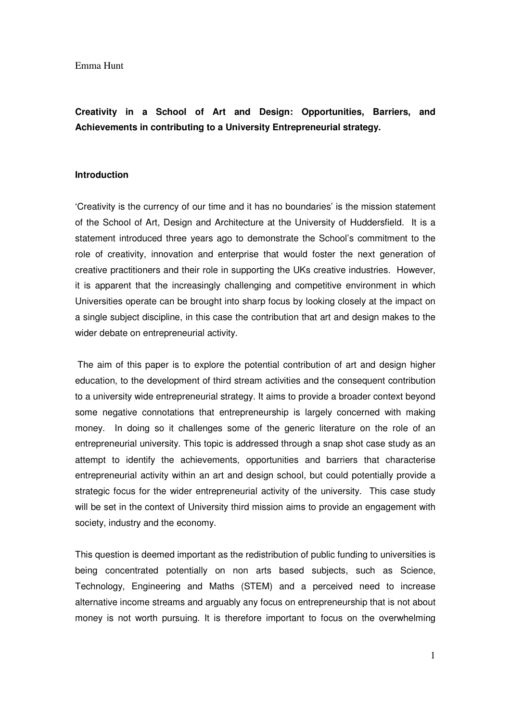# **Creativity in a School of Art and Design: Opportunities, Barriers, and Achievements in contributing to a University Entrepreneurial strategy.**

### **Introduction**

'Creativity is the currency of our time and it has no boundaries' is the mission statement of the School of Art, Design and Architecture at the University of Huddersfield. It is a statement introduced three years ago to demonstrate the School's commitment to the role of creativity, innovation and enterprise that would foster the next generation of creative practitioners and their role in supporting the UKs creative industries. However, it is apparent that the increasingly challenging and competitive environment in which Universities operate can be brought into sharp focus by looking closely at the impact on a single subject discipline, in this case the contribution that art and design makes to the wider debate on entrepreneurial activity.

 The aim of this paper is to explore the potential contribution of art and design higher education, to the development of third stream activities and the consequent contribution to a university wide entrepreneurial strategy. It aims to provide a broader context beyond some negative connotations that entrepreneurship is largely concerned with making money. In doing so it challenges some of the generic literature on the role of an entrepreneurial university. This topic is addressed through a snap shot case study as an attempt to identify the achievements, opportunities and barriers that characterise entrepreneurial activity within an art and design school, but could potentially provide a strategic focus for the wider entrepreneurial activity of the university. This case study will be set in the context of University third mission aims to provide an engagement with society, industry and the economy.

This question is deemed important as the redistribution of public funding to universities is being concentrated potentially on non arts based subjects, such as Science, Technology, Engineering and Maths (STEM) and a perceived need to increase alternative income streams and arguably any focus on entrepreneurship that is not about money is not worth pursuing. It is therefore important to focus on the overwhelming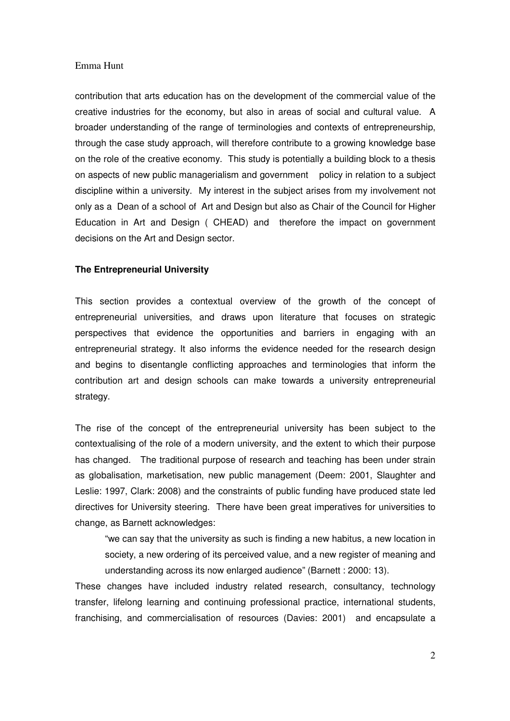contribution that arts education has on the development of the commercial value of the creative industries for the economy, but also in areas of social and cultural value. A broader understanding of the range of terminologies and contexts of entrepreneurship, through the case study approach, will therefore contribute to a growing knowledge base on the role of the creative economy. This study is potentially a building block to a thesis on aspects of new public managerialism and government policy in relation to a subject discipline within a university. My interest in the subject arises from my involvement not only as a Dean of a school of Art and Design but also as Chair of the Council for Higher Education in Art and Design ( CHEAD) and therefore the impact on government decisions on the Art and Design sector.

## **The Entrepreneurial University**

This section provides a contextual overview of the growth of the concept of entrepreneurial universities, and draws upon literature that focuses on strategic perspectives that evidence the opportunities and barriers in engaging with an entrepreneurial strategy. It also informs the evidence needed for the research design and begins to disentangle conflicting approaches and terminologies that inform the contribution art and design schools can make towards a university entrepreneurial strategy.

The rise of the concept of the entrepreneurial university has been subject to the contextualising of the role of a modern university, and the extent to which their purpose has changed. The traditional purpose of research and teaching has been under strain as globalisation, marketisation, new public management (Deem: 2001, Slaughter and Leslie: 1997, Clark: 2008) and the constraints of public funding have produced state led directives for University steering. There have been great imperatives for universities to change, as Barnett acknowledges:

"we can say that the university as such is finding a new habitus, a new location in society, a new ordering of its perceived value, and a new register of meaning and understanding across its now enlarged audience" (Barnett : 2000: 13).

These changes have included industry related research, consultancy, technology transfer, lifelong learning and continuing professional practice, international students, franchising, and commercialisation of resources (Davies: 2001) and encapsulate a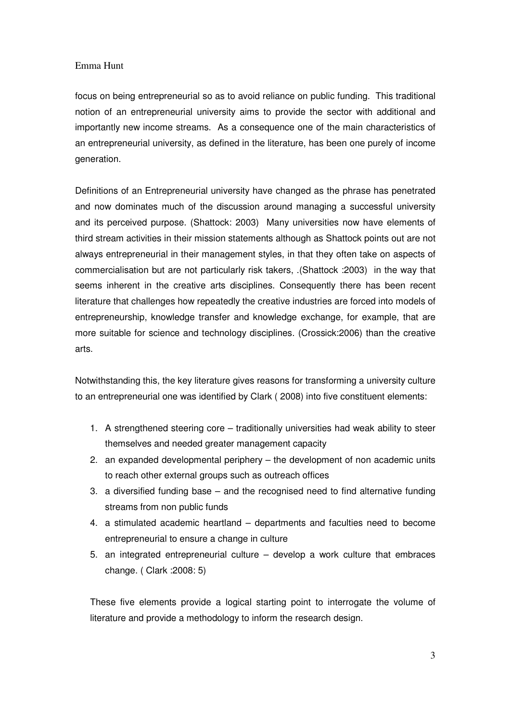focus on being entrepreneurial so as to avoid reliance on public funding. This traditional notion of an entrepreneurial university aims to provide the sector with additional and importantly new income streams. As a consequence one of the main characteristics of an entrepreneurial university, as defined in the literature, has been one purely of income generation.

Definitions of an Entrepreneurial university have changed as the phrase has penetrated and now dominates much of the discussion around managing a successful university and its perceived purpose. (Shattock: 2003) Many universities now have elements of third stream activities in their mission statements although as Shattock points out are not always entrepreneurial in their management styles, in that they often take on aspects of commercialisation but are not particularly risk takers, .(Shattock :2003) in the way that seems inherent in the creative arts disciplines. Consequently there has been recent literature that challenges how repeatedly the creative industries are forced into models of entrepreneurship, knowledge transfer and knowledge exchange, for example, that are more suitable for science and technology disciplines. (Crossick:2006) than the creative arts.

Notwithstanding this, the key literature gives reasons for transforming a university culture to an entrepreneurial one was identified by Clark ( 2008) into five constituent elements:

- 1. A strengthened steering core traditionally universities had weak ability to steer themselves and needed greater management capacity
- 2. an expanded developmental periphery the development of non academic units to reach other external groups such as outreach offices
- 3. a diversified funding base and the recognised need to find alternative funding streams from non public funds
- 4. a stimulated academic heartland departments and faculties need to become entrepreneurial to ensure a change in culture
- 5. an integrated entrepreneurial culture develop a work culture that embraces change. ( Clark :2008: 5)

These five elements provide a logical starting point to interrogate the volume of literature and provide a methodology to inform the research design.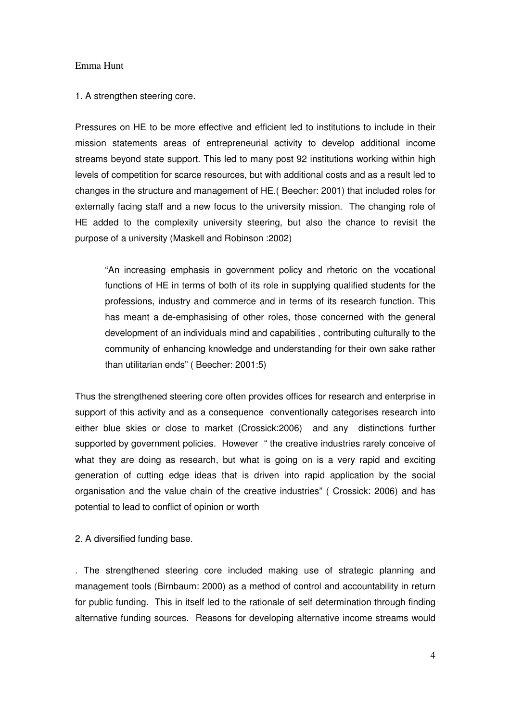1. A strengthen steering core.

Pressures on HE to be more effective and efficient led to institutions to include in their mission statements areas of entrepreneurial activity to develop additional income streams beyond state support. This led to many post 92 institutions working within high levels of competition for scarce resources, but with additional costs and as a result led to changes in the structure and management of HE.( Beecher: 2001) that included roles for externally facing staff and a new focus to the university mission. The changing role of HE added to the complexity university steering, but also the chance to revisit the purpose of a university (Maskell and Robinson :2002)

"An increasing emphasis in government policy and rhetoric on the vocational functions of HE in terms of both of its role in supplying qualified students for the professions, industry and commerce and in terms of its research function. This has meant a de-emphasising of other roles, those concerned with the general development of an individuals mind and capabilities , contributing culturally to the community of enhancing knowledge and understanding for their own sake rather than utilitarian ends" ( Beecher: 2001:5)

Thus the strengthened steering core often provides offices for research and enterprise in support of this activity and as a consequence conventionally categorises research into either blue skies or close to market (Crossick:2006) and any distinctions further supported by government policies. However " the creative industries rarely conceive of what they are doing as research, but what is going on is a very rapid and exciting generation of cutting edge ideas that is driven into rapid application by the social organisation and the value chain of the creative industries" ( Crossick: 2006) and has potential to lead to conflict of opinion or worth

## 2. A diversified funding base.

. The strengthened steering core included making use of strategic planning and management tools (Birnbaum: 2000) as a method of control and accountability in return for public funding. This in itself led to the rationale of self determination through finding alternative funding sources. Reasons for developing alternative income streams would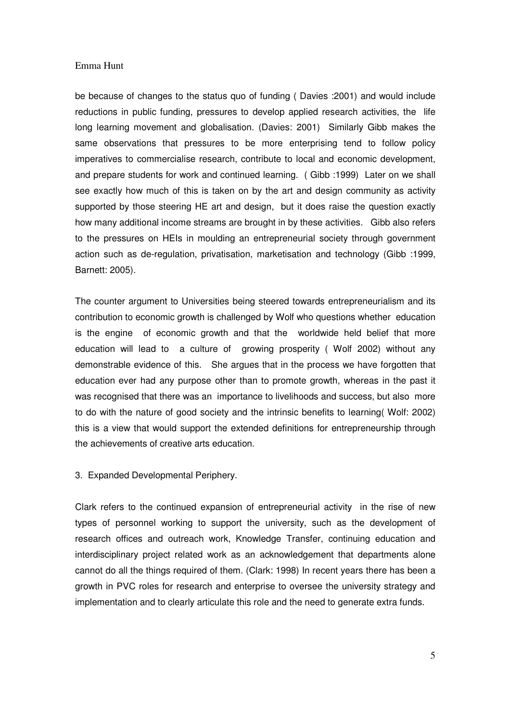be because of changes to the status quo of funding ( Davies :2001) and would include reductions in public funding, pressures to develop applied research activities, the life long learning movement and globalisation. (Davies: 2001) Similarly Gibb makes the same observations that pressures to be more enterprising tend to follow policy imperatives to commercialise research, contribute to local and economic development, and prepare students for work and continued learning. ( Gibb :1999) Later on we shall see exactly how much of this is taken on by the art and design community as activity supported by those steering HE art and design, but it does raise the question exactly how many additional income streams are brought in by these activities. Gibb also refers to the pressures on HEIs in moulding an entrepreneurial society through government action such as de-regulation, privatisation, marketisation and technology (Gibb :1999, Barnett: 2005).

The counter argument to Universities being steered towards entrepreneurialism and its contribution to economic growth is challenged by Wolf who questions whether education is the engine of economic growth and that the worldwide held belief that more education will lead to a culture of growing prosperity ( Wolf 2002) without any demonstrable evidence of this. She argues that in the process we have forgotten that education ever had any purpose other than to promote growth, whereas in the past it was recognised that there was an importance to livelihoods and success, but also more to do with the nature of good society and the intrinsic benefits to learning( Wolf: 2002) this is a view that would support the extended definitions for entrepreneurship through the achievements of creative arts education.

3. Expanded Developmental Periphery.

Clark refers to the continued expansion of entrepreneurial activity in the rise of new types of personnel working to support the university, such as the development of research offices and outreach work, Knowledge Transfer, continuing education and interdisciplinary project related work as an acknowledgement that departments alone cannot do all the things required of them. (Clark: 1998) In recent years there has been a growth in PVC roles for research and enterprise to oversee the university strategy and implementation and to clearly articulate this role and the need to generate extra funds.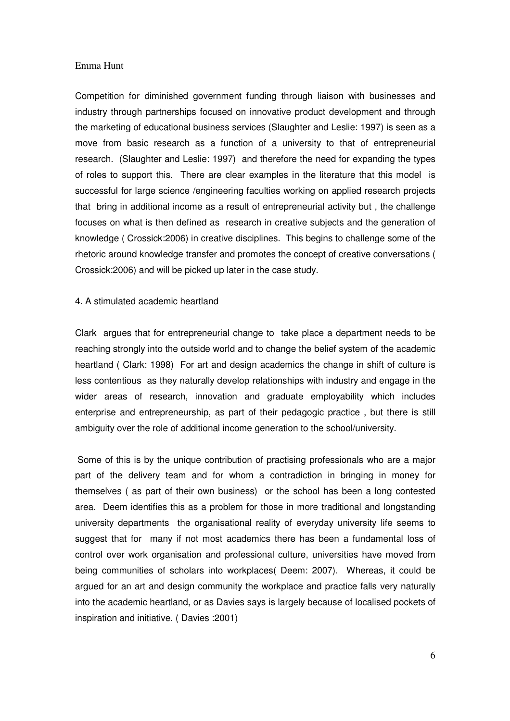Competition for diminished government funding through liaison with businesses and industry through partnerships focused on innovative product development and through the marketing of educational business services (Slaughter and Leslie: 1997) is seen as a move from basic research as a function of a university to that of entrepreneurial research. (Slaughter and Leslie: 1997) and therefore the need for expanding the types of roles to support this. There are clear examples in the literature that this model is successful for large science /engineering faculties working on applied research projects that bring in additional income as a result of entrepreneurial activity but , the challenge focuses on what is then defined as research in creative subjects and the generation of knowledge ( Crossick:2006) in creative disciplines. This begins to challenge some of the rhetoric around knowledge transfer and promotes the concept of creative conversations ( Crossick:2006) and will be picked up later in the case study.

## 4. A stimulated academic heartland

Clark argues that for entrepreneurial change to take place a department needs to be reaching strongly into the outside world and to change the belief system of the academic heartland ( Clark: 1998) For art and design academics the change in shift of culture is less contentious as they naturally develop relationships with industry and engage in the wider areas of research, innovation and graduate employability which includes enterprise and entrepreneurship, as part of their pedagogic practice , but there is still ambiguity over the role of additional income generation to the school/university.

 Some of this is by the unique contribution of practising professionals who are a major part of the delivery team and for whom a contradiction in bringing in money for themselves ( as part of their own business) or the school has been a long contested area. Deem identifies this as a problem for those in more traditional and longstanding university departments the organisational reality of everyday university life seems to suggest that for many if not most academics there has been a fundamental loss of control over work organisation and professional culture, universities have moved from being communities of scholars into workplaces( Deem: 2007). Whereas, it could be argued for an art and design community the workplace and practice falls very naturally into the academic heartland, or as Davies says is largely because of localised pockets of inspiration and initiative. ( Davies :2001)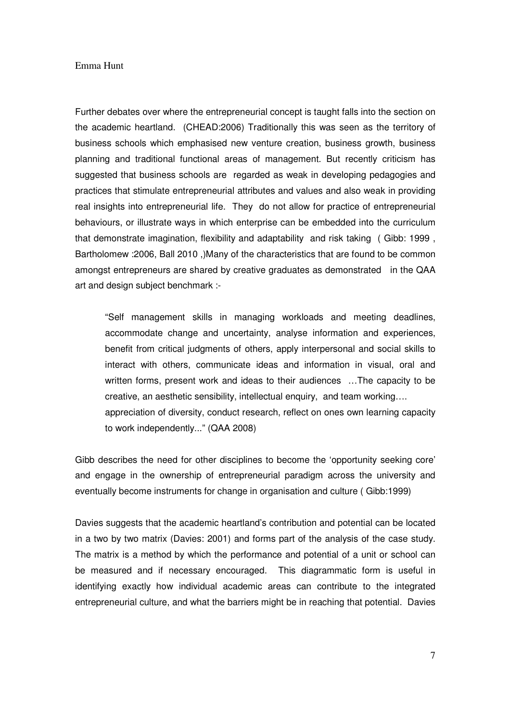Further debates over where the entrepreneurial concept is taught falls into the section on the academic heartland. (CHEAD:2006) Traditionally this was seen as the territory of business schools which emphasised new venture creation, business growth, business planning and traditional functional areas of management. But recently criticism has suggested that business schools are regarded as weak in developing pedagogies and practices that stimulate entrepreneurial attributes and values and also weak in providing real insights into entrepreneurial life. They do not allow for practice of entrepreneurial behaviours, or illustrate ways in which enterprise can be embedded into the curriculum that demonstrate imagination, flexibility and adaptability and risk taking ( Gibb: 1999 , Bartholomew :2006, Ball 2010 ,)Many of the characteristics that are found to be common amongst entrepreneurs are shared by creative graduates as demonstrated in the QAA art and design subject benchmark :-

"Self management skills in managing workloads and meeting deadlines, accommodate change and uncertainty, analyse information and experiences, benefit from critical judgments of others, apply interpersonal and social skills to interact with others, communicate ideas and information in visual, oral and written forms, present work and ideas to their audiences …The capacity to be creative, an aesthetic sensibility, intellectual enquiry, and team working…. appreciation of diversity, conduct research, reflect on ones own learning capacity to work independently..." (QAA 2008)

Gibb describes the need for other disciplines to become the 'opportunity seeking core' and engage in the ownership of entrepreneurial paradigm across the university and eventually become instruments for change in organisation and culture ( Gibb:1999)

Davies suggests that the academic heartland's contribution and potential can be located in a two by two matrix (Davies: 2001) and forms part of the analysis of the case study. The matrix is a method by which the performance and potential of a unit or school can be measured and if necessary encouraged. This diagrammatic form is useful in identifying exactly how individual academic areas can contribute to the integrated entrepreneurial culture, and what the barriers might be in reaching that potential. Davies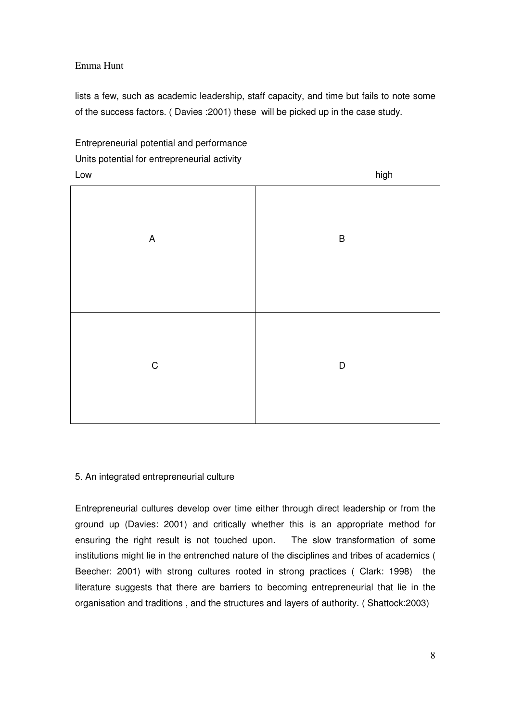lists a few, such as academic leadership, staff capacity, and time but fails to note some of the success factors. ( Davies :2001) these will be picked up in the case study.



## 5. An integrated entrepreneurial culture

Entrepreneurial cultures develop over time either through direct leadership or from the ground up (Davies: 2001) and critically whether this is an appropriate method for ensuring the right result is not touched upon. The slow transformation of some institutions might lie in the entrenched nature of the disciplines and tribes of academics ( Beecher: 2001) with strong cultures rooted in strong practices ( Clark: 1998) the literature suggests that there are barriers to becoming entrepreneurial that lie in the organisation and traditions , and the structures and layers of authority. ( Shattock:2003)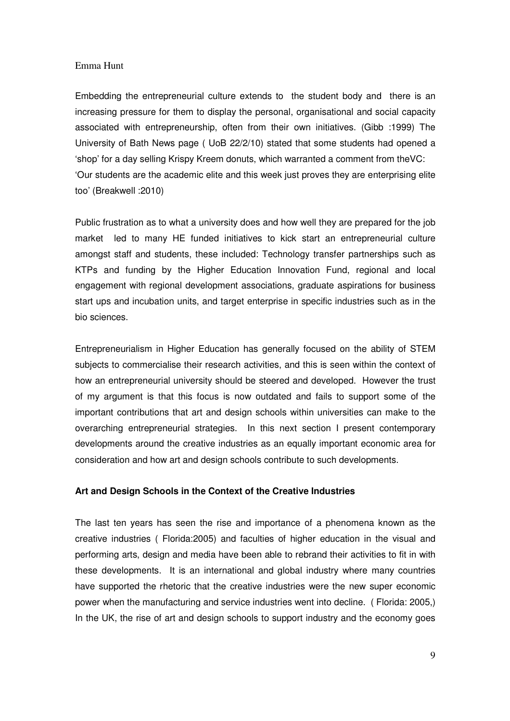Embedding the entrepreneurial culture extends to the student body and there is an increasing pressure for them to display the personal, organisational and social capacity associated with entrepreneurship, often from their own initiatives. (Gibb :1999) The University of Bath News page ( UoB 22/2/10) stated that some students had opened a 'shop' for a day selling Krispy Kreem donuts, which warranted a comment from theVC: 'Our students are the academic elite and this week just proves they are enterprising elite too' (Breakwell :2010)

Public frustration as to what a university does and how well they are prepared for the job market led to many HE funded initiatives to kick start an entrepreneurial culture amongst staff and students, these included: Technology transfer partnerships such as KTPs and funding by the Higher Education Innovation Fund, regional and local engagement with regional development associations, graduate aspirations for business start ups and incubation units, and target enterprise in specific industries such as in the bio sciences.

Entrepreneurialism in Higher Education has generally focused on the ability of STEM subjects to commercialise their research activities, and this is seen within the context of how an entrepreneurial university should be steered and developed. However the trust of my argument is that this focus is now outdated and fails to support some of the important contributions that art and design schools within universities can make to the overarching entrepreneurial strategies. In this next section I present contemporary developments around the creative industries as an equally important economic area for consideration and how art and design schools contribute to such developments.

## **Art and Design Schools in the Context of the Creative Industries**

The last ten years has seen the rise and importance of a phenomena known as the creative industries ( Florida:2005) and faculties of higher education in the visual and performing arts, design and media have been able to rebrand their activities to fit in with these developments. It is an international and global industry where many countries have supported the rhetoric that the creative industries were the new super economic power when the manufacturing and service industries went into decline. ( Florida: 2005,) In the UK, the rise of art and design schools to support industry and the economy goes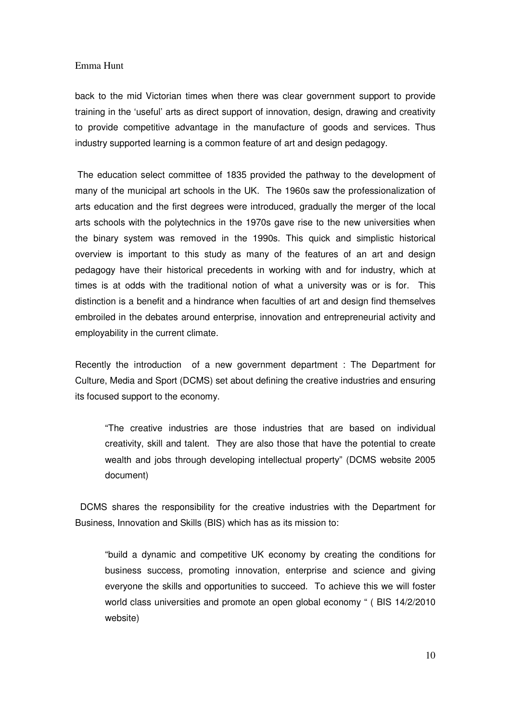back to the mid Victorian times when there was clear government support to provide training in the 'useful' arts as direct support of innovation, design, drawing and creativity to provide competitive advantage in the manufacture of goods and services. Thus industry supported learning is a common feature of art and design pedagogy.

 The education select committee of 1835 provided the pathway to the development of many of the municipal art schools in the UK. The 1960s saw the professionalization of arts education and the first degrees were introduced, gradually the merger of the local arts schools with the polytechnics in the 1970s gave rise to the new universities when the binary system was removed in the 1990s. This quick and simplistic historical overview is important to this study as many of the features of an art and design pedagogy have their historical precedents in working with and for industry, which at times is at odds with the traditional notion of what a university was or is for. This distinction is a benefit and a hindrance when faculties of art and design find themselves embroiled in the debates around enterprise, innovation and entrepreneurial activity and employability in the current climate.

Recently the introduction of a new government department : The Department for Culture, Media and Sport (DCMS) set about defining the creative industries and ensuring its focused support to the economy.

"The creative industries are those industries that are based on individual creativity, skill and talent. They are also those that have the potential to create wealth and jobs through developing intellectual property" (DCMS website 2005 document)

 DCMS shares the responsibility for the creative industries with the Department for Business, Innovation and Skills (BIS) which has as its mission to:

"build a dynamic and competitive UK economy by creating the conditions for business success, promoting innovation, enterprise and science and giving everyone the skills and opportunities to succeed. To achieve this we will foster world class universities and promote an open global economy " ( BIS 14/2/2010 website)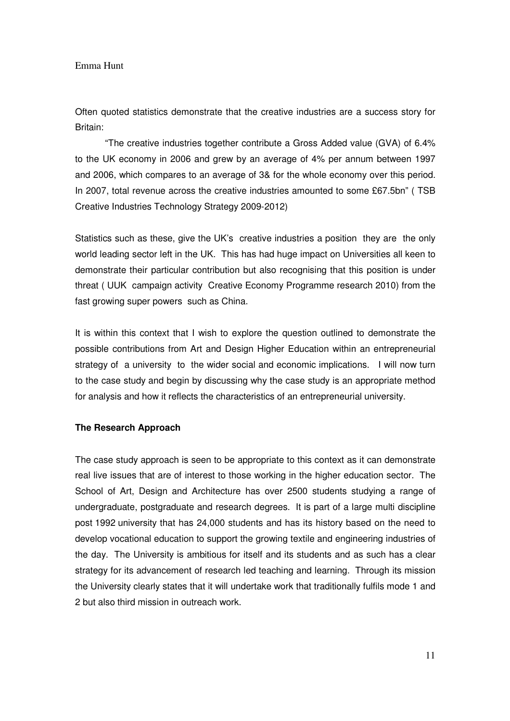Often quoted statistics demonstrate that the creative industries are a success story for Britain:

 "The creative industries together contribute a Gross Added value (GVA) of 6.4% to the UK economy in 2006 and grew by an average of 4% per annum between 1997 and 2006, which compares to an average of 3& for the whole economy over this period. In 2007, total revenue across the creative industries amounted to some £67.5bn" ( TSB Creative Industries Technology Strategy 2009-2012)

Statistics such as these, give the UK's creative industries a position they are the only world leading sector left in the UK. This has had huge impact on Universities all keen to demonstrate their particular contribution but also recognising that this position is under threat ( UUK campaign activity Creative Economy Programme research 2010) from the fast growing super powers such as China.

It is within this context that I wish to explore the question outlined to demonstrate the possible contributions from Art and Design Higher Education within an entrepreneurial strategy of a university to the wider social and economic implications. I will now turn to the case study and begin by discussing why the case study is an appropriate method for analysis and how it reflects the characteristics of an entrepreneurial university.

### **The Research Approach**

The case study approach is seen to be appropriate to this context as it can demonstrate real live issues that are of interest to those working in the higher education sector. The School of Art, Design and Architecture has over 2500 students studying a range of undergraduate, postgraduate and research degrees. It is part of a large multi discipline post 1992 university that has 24,000 students and has its history based on the need to develop vocational education to support the growing textile and engineering industries of the day. The University is ambitious for itself and its students and as such has a clear strategy for its advancement of research led teaching and learning. Through its mission the University clearly states that it will undertake work that traditionally fulfils mode 1 and 2 but also third mission in outreach work.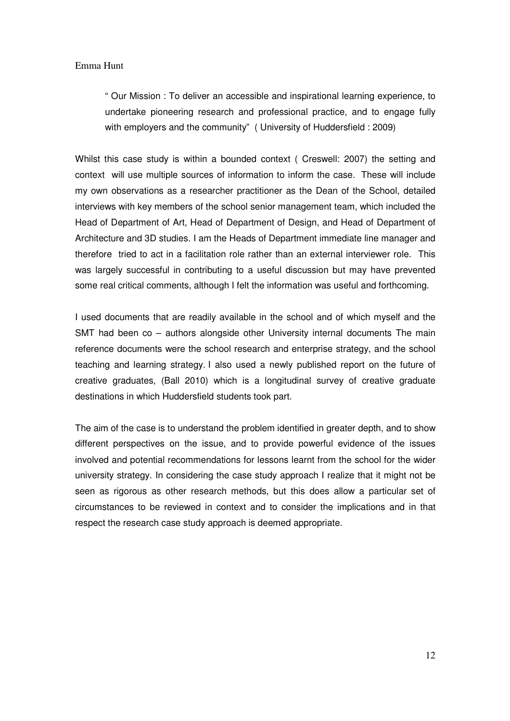" Our Mission : To deliver an accessible and inspirational learning experience, to undertake pioneering research and professional practice, and to engage fully with employers and the community" ( University of Huddersfield : 2009)

Whilst this case study is within a bounded context ( Creswell: 2007) the setting and context will use multiple sources of information to inform the case. These will include my own observations as a researcher practitioner as the Dean of the School, detailed interviews with key members of the school senior management team, which included the Head of Department of Art, Head of Department of Design, and Head of Department of Architecture and 3D studies. I am the Heads of Department immediate line manager and therefore tried to act in a facilitation role rather than an external interviewer role. This was largely successful in contributing to a useful discussion but may have prevented some real critical comments, although I felt the information was useful and forthcoming.

I used documents that are readily available in the school and of which myself and the SMT had been co – authors alongside other University internal documents The main reference documents were the school research and enterprise strategy, and the school teaching and learning strategy. I also used a newly published report on the future of creative graduates, (Ball 2010) which is a longitudinal survey of creative graduate destinations in which Huddersfield students took part.

The aim of the case is to understand the problem identified in greater depth, and to show different perspectives on the issue, and to provide powerful evidence of the issues involved and potential recommendations for lessons learnt from the school for the wider university strategy. In considering the case study approach I realize that it might not be seen as rigorous as other research methods, but this does allow a particular set of circumstances to be reviewed in context and to consider the implications and in that respect the research case study approach is deemed appropriate.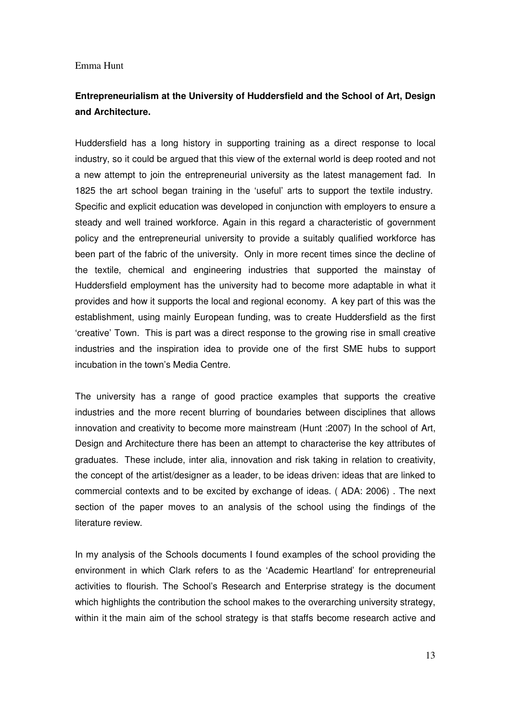# **Entrepreneurialism at the University of Huddersfield and the School of Art, Design and Architecture.**

Huddersfield has a long history in supporting training as a direct response to local industry, so it could be argued that this view of the external world is deep rooted and not a new attempt to join the entrepreneurial university as the latest management fad. In 1825 the art school began training in the 'useful' arts to support the textile industry. Specific and explicit education was developed in conjunction with employers to ensure a steady and well trained workforce. Again in this regard a characteristic of government policy and the entrepreneurial university to provide a suitably qualified workforce has been part of the fabric of the university. Only in more recent times since the decline of the textile, chemical and engineering industries that supported the mainstay of Huddersfield employment has the university had to become more adaptable in what it provides and how it supports the local and regional economy. A key part of this was the establishment, using mainly European funding, was to create Huddersfield as the first 'creative' Town. This is part was a direct response to the growing rise in small creative industries and the inspiration idea to provide one of the first SME hubs to support incubation in the town's Media Centre.

The university has a range of good practice examples that supports the creative industries and the more recent blurring of boundaries between disciplines that allows innovation and creativity to become more mainstream (Hunt :2007) In the school of Art, Design and Architecture there has been an attempt to characterise the key attributes of graduates. These include, inter alia, innovation and risk taking in relation to creativity, the concept of the artist/designer as a leader, to be ideas driven: ideas that are linked to commercial contexts and to be excited by exchange of ideas. ( ADA: 2006) . The next section of the paper moves to an analysis of the school using the findings of the literature review.

In my analysis of the Schools documents I found examples of the school providing the environment in which Clark refers to as the 'Academic Heartland' for entrepreneurial activities to flourish. The School's Research and Enterprise strategy is the document which highlights the contribution the school makes to the overarching university strategy, within it the main aim of the school strategy is that staffs become research active and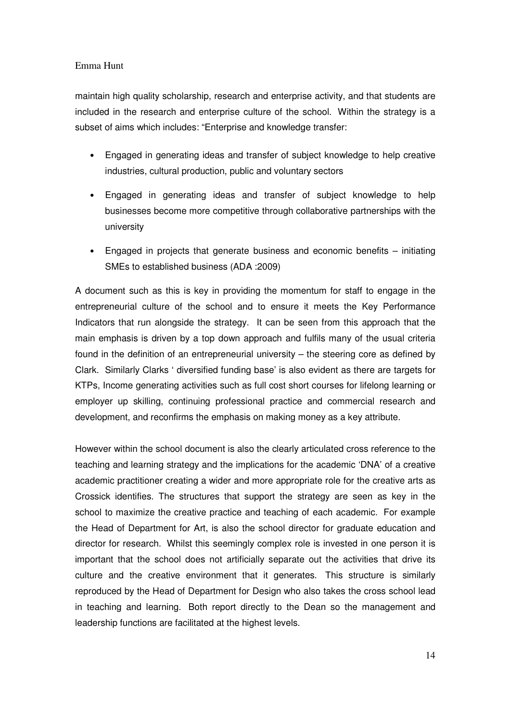maintain high quality scholarship, research and enterprise activity, and that students are included in the research and enterprise culture of the school. Within the strategy is a subset of aims which includes: "Enterprise and knowledge transfer:

- Engaged in generating ideas and transfer of subject knowledge to help creative industries, cultural production, public and voluntary sectors
- Engaged in generating ideas and transfer of subject knowledge to help businesses become more competitive through collaborative partnerships with the university
- Engaged in projects that generate business and economic benefits initiating SMEs to established business (ADA :2009)

A document such as this is key in providing the momentum for staff to engage in the entrepreneurial culture of the school and to ensure it meets the Key Performance Indicators that run alongside the strategy. It can be seen from this approach that the main emphasis is driven by a top down approach and fulfils many of the usual criteria found in the definition of an entrepreneurial university – the steering core as defined by Clark. Similarly Clarks ' diversified funding base' is also evident as there are targets for KTPs, Income generating activities such as full cost short courses for lifelong learning or employer up skilling, continuing professional practice and commercial research and development, and reconfirms the emphasis on making money as a key attribute.

However within the school document is also the clearly articulated cross reference to the teaching and learning strategy and the implications for the academic 'DNA' of a creative academic practitioner creating a wider and more appropriate role for the creative arts as Crossick identifies. The structures that support the strategy are seen as key in the school to maximize the creative practice and teaching of each academic. For example the Head of Department for Art, is also the school director for graduate education and director for research. Whilst this seemingly complex role is invested in one person it is important that the school does not artificially separate out the activities that drive its culture and the creative environment that it generates. This structure is similarly reproduced by the Head of Department for Design who also takes the cross school lead in teaching and learning. Both report directly to the Dean so the management and leadership functions are facilitated at the highest levels.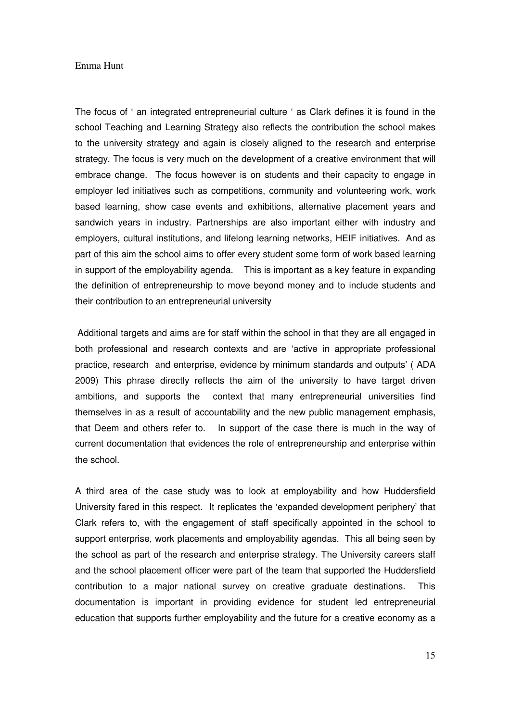The focus of ' an integrated entrepreneurial culture ' as Clark defines it is found in the school Teaching and Learning Strategy also reflects the contribution the school makes to the university strategy and again is closely aligned to the research and enterprise strategy. The focus is very much on the development of a creative environment that will embrace change. The focus however is on students and their capacity to engage in employer led initiatives such as competitions, community and volunteering work, work based learning, show case events and exhibitions, alternative placement years and sandwich years in industry. Partnerships are also important either with industry and employers, cultural institutions, and lifelong learning networks, HEIF initiatives. And as part of this aim the school aims to offer every student some form of work based learning in support of the employability agenda. This is important as a key feature in expanding the definition of entrepreneurship to move beyond money and to include students and their contribution to an entrepreneurial university

Additional targets and aims are for staff within the school in that they are all engaged in both professional and research contexts and are 'active in appropriate professional practice, research and enterprise, evidence by minimum standards and outputs' ( ADA 2009) This phrase directly reflects the aim of the university to have target driven ambitions, and supports the context that many entrepreneurial universities find themselves in as a result of accountability and the new public management emphasis, that Deem and others refer to. In support of the case there is much in the way of current documentation that evidences the role of entrepreneurship and enterprise within the school.

A third area of the case study was to look at employability and how Huddersfield University fared in this respect. It replicates the 'expanded development periphery' that Clark refers to, with the engagement of staff specifically appointed in the school to support enterprise, work placements and employability agendas. This all being seen by the school as part of the research and enterprise strategy. The University careers staff and the school placement officer were part of the team that supported the Huddersfield contribution to a major national survey on creative graduate destinations. This documentation is important in providing evidence for student led entrepreneurial education that supports further employability and the future for a creative economy as a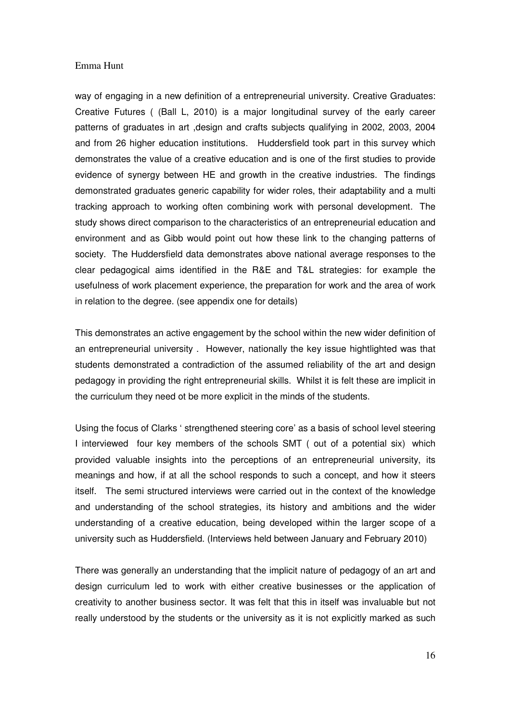way of engaging in a new definition of a entrepreneurial university. Creative Graduates: Creative Futures ( (Ball L, 2010) is a major longitudinal survey of the early career patterns of graduates in art ,design and crafts subjects qualifying in 2002, 2003, 2004 and from 26 higher education institutions. Huddersfield took part in this survey which demonstrates the value of a creative education and is one of the first studies to provide evidence of synergy between HE and growth in the creative industries. The findings demonstrated graduates generic capability for wider roles, their adaptability and a multi tracking approach to working often combining work with personal development. The study shows direct comparison to the characteristics of an entrepreneurial education and environment and as Gibb would point out how these link to the changing patterns of society. The Huddersfield data demonstrates above national average responses to the clear pedagogical aims identified in the R&E and T&L strategies: for example the usefulness of work placement experience, the preparation for work and the area of work in relation to the degree. (see appendix one for details)

This demonstrates an active engagement by the school within the new wider definition of an entrepreneurial university . However, nationally the key issue hightlighted was that students demonstrated a contradiction of the assumed reliability of the art and design pedagogy in providing the right entrepreneurial skills. Whilst it is felt these are implicit in the curriculum they need ot be more explicit in the minds of the students.

Using the focus of Clarks ' strengthened steering core' as a basis of school level steering I interviewed four key members of the schools SMT ( out of a potential six) which provided valuable insights into the perceptions of an entrepreneurial university, its meanings and how, if at all the school responds to such a concept, and how it steers itself. The semi structured interviews were carried out in the context of the knowledge and understanding of the school strategies, its history and ambitions and the wider understanding of a creative education, being developed within the larger scope of a university such as Huddersfield. (Interviews held between January and February 2010)

There was generally an understanding that the implicit nature of pedagogy of an art and design curriculum led to work with either creative businesses or the application of creativity to another business sector. It was felt that this in itself was invaluable but not really understood by the students or the university as it is not explicitly marked as such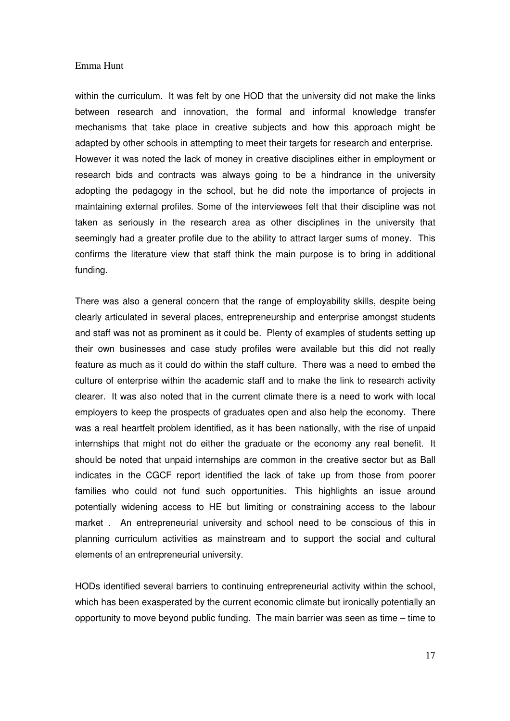within the curriculum. It was felt by one HOD that the university did not make the links between research and innovation, the formal and informal knowledge transfer mechanisms that take place in creative subjects and how this approach might be adapted by other schools in attempting to meet their targets for research and enterprise. However it was noted the lack of money in creative disciplines either in employment or research bids and contracts was always going to be a hindrance in the university adopting the pedagogy in the school, but he did note the importance of projects in maintaining external profiles. Some of the interviewees felt that their discipline was not taken as seriously in the research area as other disciplines in the university that seemingly had a greater profile due to the ability to attract larger sums of money. This confirms the literature view that staff think the main purpose is to bring in additional funding.

There was also a general concern that the range of employability skills, despite being clearly articulated in several places, entrepreneurship and enterprise amongst students and staff was not as prominent as it could be. Plenty of examples of students setting up their own businesses and case study profiles were available but this did not really feature as much as it could do within the staff culture. There was a need to embed the culture of enterprise within the academic staff and to make the link to research activity clearer. It was also noted that in the current climate there is a need to work with local employers to keep the prospects of graduates open and also help the economy. There was a real heartfelt problem identified, as it has been nationally, with the rise of unpaid internships that might not do either the graduate or the economy any real benefit. It should be noted that unpaid internships are common in the creative sector but as Ball indicates in the CGCF report identified the lack of take up from those from poorer families who could not fund such opportunities. This highlights an issue around potentially widening access to HE but limiting or constraining access to the labour market . An entrepreneurial university and school need to be conscious of this in planning curriculum activities as mainstream and to support the social and cultural elements of an entrepreneurial university.

HODs identified several barriers to continuing entrepreneurial activity within the school, which has been exasperated by the current economic climate but ironically potentially an opportunity to move beyond public funding. The main barrier was seen as time – time to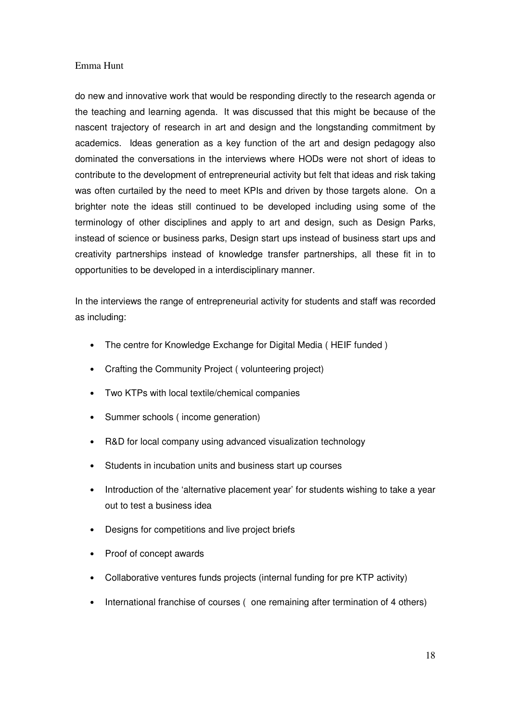do new and innovative work that would be responding directly to the research agenda or the teaching and learning agenda. It was discussed that this might be because of the nascent trajectory of research in art and design and the longstanding commitment by academics. Ideas generation as a key function of the art and design pedagogy also dominated the conversations in the interviews where HODs were not short of ideas to contribute to the development of entrepreneurial activity but felt that ideas and risk taking was often curtailed by the need to meet KPIs and driven by those targets alone. On a brighter note the ideas still continued to be developed including using some of the terminology of other disciplines and apply to art and design, such as Design Parks, instead of science or business parks, Design start ups instead of business start ups and creativity partnerships instead of knowledge transfer partnerships, all these fit in to opportunities to be developed in a interdisciplinary manner.

In the interviews the range of entrepreneurial activity for students and staff was recorded as including:

- The centre for Knowledge Exchange for Digital Media (HEIF funded)
- Crafting the Community Project ( volunteering project)
- Two KTPs with local textile/chemical companies
- Summer schools ( income generation)
- R&D for local company using advanced visualization technology
- Students in incubation units and business start up courses
- Introduction of the 'alternative placement year' for students wishing to take a year out to test a business idea
- Designs for competitions and live project briefs
- Proof of concept awards
- Collaborative ventures funds projects (internal funding for pre KTP activity)
- International franchise of courses ( one remaining after termination of 4 others)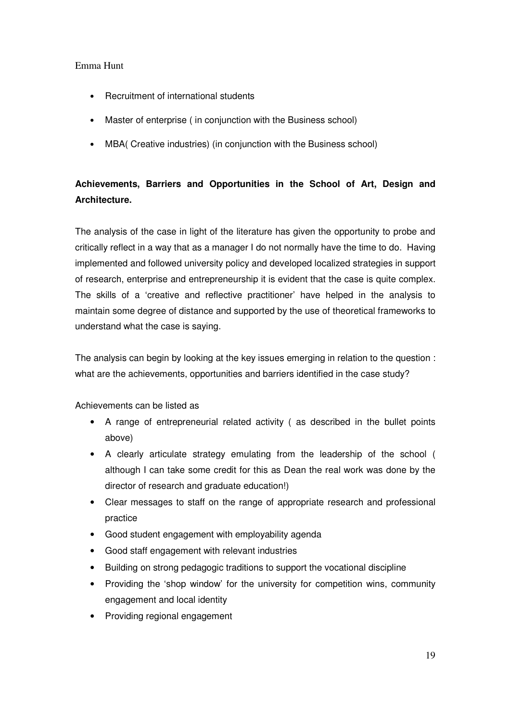- Recruitment of international students
- Master of enterprise ( in conjunction with the Business school)
- MBA( Creative industries) (in conjunction with the Business school)

# **Achievements, Barriers and Opportunities in the School of Art, Design and Architecture.**

The analysis of the case in light of the literature has given the opportunity to probe and critically reflect in a way that as a manager I do not normally have the time to do. Having implemented and followed university policy and developed localized strategies in support of research, enterprise and entrepreneurship it is evident that the case is quite complex. The skills of a 'creative and reflective practitioner' have helped in the analysis to maintain some degree of distance and supported by the use of theoretical frameworks to understand what the case is saying.

The analysis can begin by looking at the key issues emerging in relation to the question : what are the achievements, opportunities and barriers identified in the case study?

Achievements can be listed as

- A range of entrepreneurial related activity ( as described in the bullet points above)
- A clearly articulate strategy emulating from the leadership of the school ( although I can take some credit for this as Dean the real work was done by the director of research and graduate education!)
- Clear messages to staff on the range of appropriate research and professional practice
- Good student engagement with employability agenda
- Good staff engagement with relevant industries
- Building on strong pedagogic traditions to support the vocational discipline
- Providing the 'shop window' for the university for competition wins, community engagement and local identity
- Providing regional engagement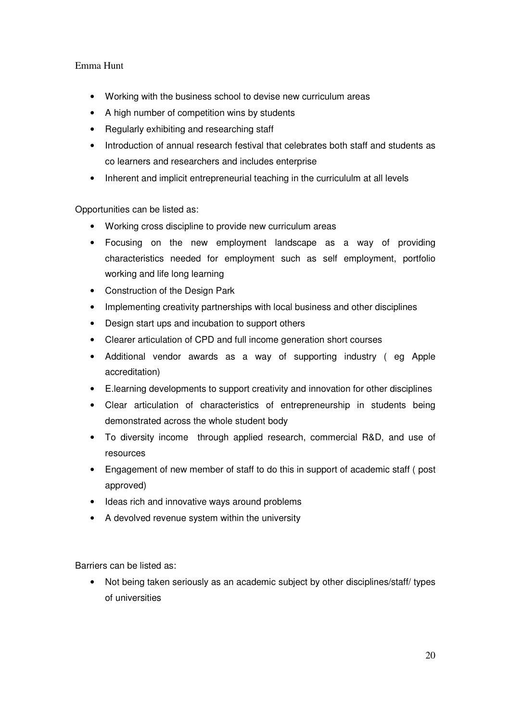- Working with the business school to devise new curriculum areas
- A high number of competition wins by students
- Regularly exhibiting and researching staff
- Introduction of annual research festival that celebrates both staff and students as co learners and researchers and includes enterprise
- Inherent and implicit entrepreneurial teaching in the curricululm at all levels

Opportunities can be listed as:

- Working cross discipline to provide new curriculum areas
- Focusing on the new employment landscape as a way of providing characteristics needed for employment such as self employment, portfolio working and life long learning
- Construction of the Design Park
- Implementing creativity partnerships with local business and other disciplines
- Design start ups and incubation to support others
- Clearer articulation of CPD and full income generation short courses
- Additional vendor awards as a way of supporting industry ( eg Apple accreditation)
- E.learning developments to support creativity and innovation for other disciplines
- Clear articulation of characteristics of entrepreneurship in students being demonstrated across the whole student body
- To diversity income through applied research, commercial R&D, and use of resources
- Engagement of new member of staff to do this in support of academic staff ( post approved)
- Ideas rich and innovative ways around problems
- A devolved revenue system within the university

Barriers can be listed as:

• Not being taken seriously as an academic subject by other disciplines/staff/ types of universities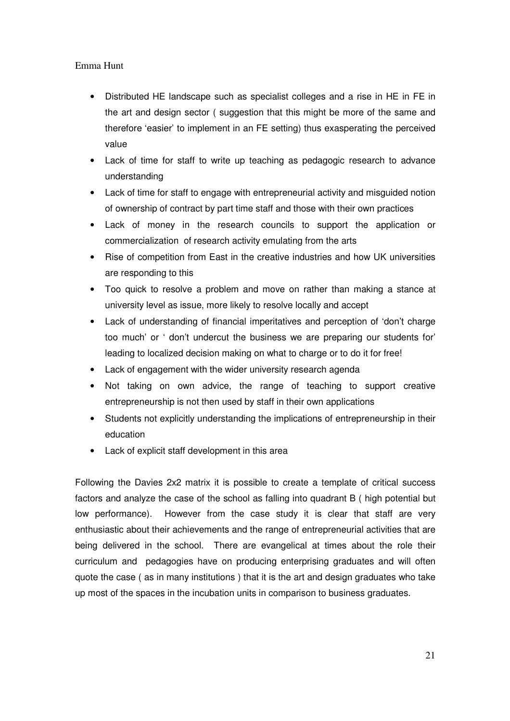- Distributed HE landscape such as specialist colleges and a rise in HE in FE in the art and design sector ( suggestion that this might be more of the same and therefore 'easier' to implement in an FE setting) thus exasperating the perceived value
- Lack of time for staff to write up teaching as pedagogic research to advance understanding
- Lack of time for staff to engage with entrepreneurial activity and misguided notion of ownership of contract by part time staff and those with their own practices
- Lack of money in the research councils to support the application or commercialization of research activity emulating from the arts
- Rise of competition from East in the creative industries and how UK universities are responding to this
- Too quick to resolve a problem and move on rather than making a stance at university level as issue, more likely to resolve locally and accept
- Lack of understanding of financial imperitatives and perception of 'don't charge too much' or ' don't undercut the business we are preparing our students for' leading to localized decision making on what to charge or to do it for free!
- Lack of engagement with the wider university research agenda
- Not taking on own advice, the range of teaching to support creative entrepreneurship is not then used by staff in their own applications
- Students not explicitly understanding the implications of entrepreneurship in their education
- Lack of explicit staff development in this area

Following the Davies 2x2 matrix it is possible to create a template of critical success factors and analyze the case of the school as falling into quadrant B ( high potential but low performance). However from the case study it is clear that staff are very enthusiastic about their achievements and the range of entrepreneurial activities that are being delivered in the school. There are evangelical at times about the role their curriculum and pedagogies have on producing enterprising graduates and will often quote the case ( as in many institutions ) that it is the art and design graduates who take up most of the spaces in the incubation units in comparison to business graduates.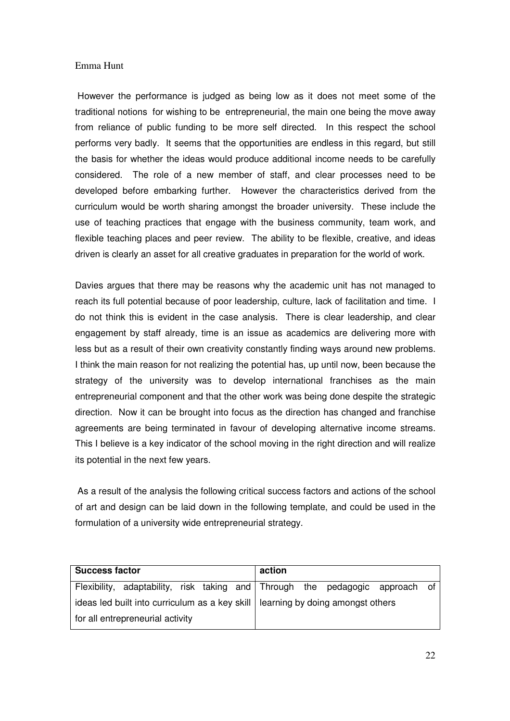However the performance is judged as being low as it does not meet some of the traditional notions for wishing to be entrepreneurial, the main one being the move away from reliance of public funding to be more self directed. In this respect the school performs very badly. It seems that the opportunities are endless in this regard, but still the basis for whether the ideas would produce additional income needs to be carefully considered. The role of a new member of staff, and clear processes need to be developed before embarking further. However the characteristics derived from the curriculum would be worth sharing amongst the broader university. These include the use of teaching practices that engage with the business community, team work, and flexible teaching places and peer review. The ability to be flexible, creative, and ideas driven is clearly an asset for all creative graduates in preparation for the world of work.

Davies argues that there may be reasons why the academic unit has not managed to reach its full potential because of poor leadership, culture, lack of facilitation and time. I do not think this is evident in the case analysis. There is clear leadership, and clear engagement by staff already, time is an issue as academics are delivering more with less but as a result of their own creativity constantly finding ways around new problems. I think the main reason for not realizing the potential has, up until now, been because the strategy of the university was to develop international franchises as the main entrepreneurial component and that the other work was being done despite the strategic direction. Now it can be brought into focus as the direction has changed and franchise agreements are being terminated in favour of developing alternative income streams. This I believe is a key indicator of the school moving in the right direction and will realize its potential in the next few years.

 As a result of the analysis the following critical success factors and actions of the school of art and design can be laid down in the following template, and could be used in the formulation of a university wide entrepreneurial strategy.

| <b>Success factor</b>                                                             |                                                                              |  | action |  |  |  |  |  |  |
|-----------------------------------------------------------------------------------|------------------------------------------------------------------------------|--|--------|--|--|--|--|--|--|
|                                                                                   | Flexibility, adaptability, risk taking and Through the pedagogic approach of |  |        |  |  |  |  |  |  |
| ideas led built into curriculum as a key skill   learning by doing amongst others |                                                                              |  |        |  |  |  |  |  |  |
| for all entrepreneurial activity                                                  |                                                                              |  |        |  |  |  |  |  |  |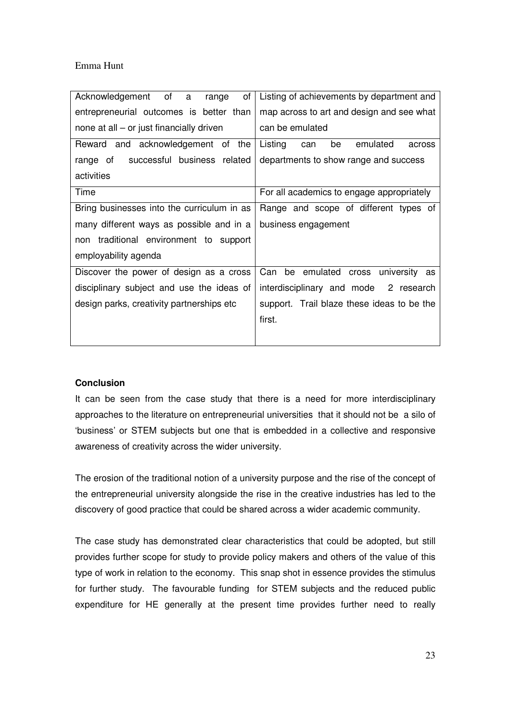| Acknowledgement of<br>οf<br>a<br>range     | Listing of achievements by department and  |  |  |
|--------------------------------------------|--------------------------------------------|--|--|
| entrepreneurial outcomes is better than    | map across to art and design and see what  |  |  |
| none at all – or just financially driven   | can be emulated                            |  |  |
| Reward and acknowledgement of the          | Listing<br>emulated<br>be<br>can<br>across |  |  |
| successful business related<br>range of    | departments to show range and success      |  |  |
| activities                                 |                                            |  |  |
| Time                                       | For all academics to engage appropriately  |  |  |
| Bring businesses into the curriculum in as | Range and scope of different types of      |  |  |
| many different ways as possible and in a   | business engagement                        |  |  |
| non traditional environment to support     |                                            |  |  |
| employability agenda                       |                                            |  |  |
| Discover the power of design as a cross    | Can<br>be emulated cross university as     |  |  |
| disciplinary subject and use the ideas of  | interdisciplinary and mode 2 research      |  |  |
| design parks, creativity partnerships etc  | support. Trail blaze these ideas to be the |  |  |
|                                            | first.                                     |  |  |
|                                            |                                            |  |  |

## **Conclusion**

It can be seen from the case study that there is a need for more interdisciplinary approaches to the literature on entrepreneurial universities that it should not be a silo of 'business' or STEM subjects but one that is embedded in a collective and responsive awareness of creativity across the wider university.

The erosion of the traditional notion of a university purpose and the rise of the concept of the entrepreneurial university alongside the rise in the creative industries has led to the discovery of good practice that could be shared across a wider academic community.

The case study has demonstrated clear characteristics that could be adopted, but still provides further scope for study to provide policy makers and others of the value of this type of work in relation to the economy. This snap shot in essence provides the stimulus for further study. The favourable funding for STEM subjects and the reduced public expenditure for HE generally at the present time provides further need to really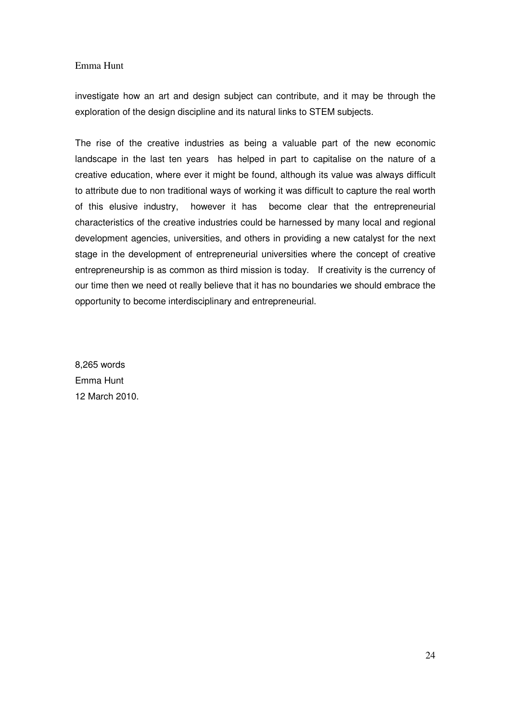investigate how an art and design subject can contribute, and it may be through the exploration of the design discipline and its natural links to STEM subjects.

The rise of the creative industries as being a valuable part of the new economic landscape in the last ten years has helped in part to capitalise on the nature of a creative education, where ever it might be found, although its value was always difficult to attribute due to non traditional ways of working it was difficult to capture the real worth of this elusive industry, however it has become clear that the entrepreneurial characteristics of the creative industries could be harnessed by many local and regional development agencies, universities, and others in providing a new catalyst for the next stage in the development of entrepreneurial universities where the concept of creative entrepreneurship is as common as third mission is today. If creativity is the currency of our time then we need ot really believe that it has no boundaries we should embrace the opportunity to become interdisciplinary and entrepreneurial.

8,265 words Emma Hunt 12 March 2010.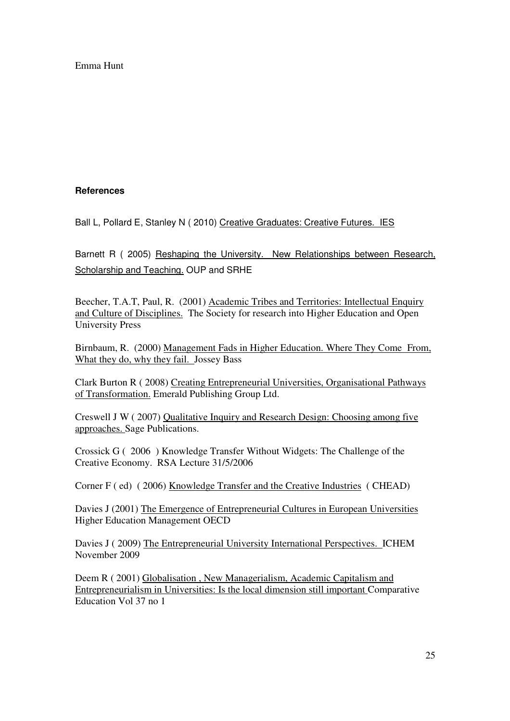## **References**

Ball L, Pollard E, Stanley N ( 2010) Creative Graduates: Creative Futures. IES

Barnett R ( 2005) Reshaping the University. New Relationships between Research, Scholarship and Teaching. OUP and SRHE

Beecher, T.A.T, Paul, R. (2001) Academic Tribes and Territories: Intellectual Enquiry and Culture of Disciplines. The Society for research into Higher Education and Open University Press

Birnbaum, R. (2000) Management Fads in Higher Education. Where They Come From, What they do, why they fail. Jossey Bass

Clark Burton R ( 2008) Creating Entrepreneurial Universities, Organisational Pathways of Transformation. Emerald Publishing Group Ltd.

Creswell J W ( 2007) Qualitative Inquiry and Research Design: Choosing among five approaches. Sage Publications.

Crossick G ( 2006 ) Knowledge Transfer Without Widgets: The Challenge of the Creative Economy. RSA Lecture 31/5/2006

Corner F ( ed) ( 2006) Knowledge Transfer and the Creative Industries ( CHEAD)

Davies J (2001) The Emergence of Entrepreneurial Cultures in European Universities Higher Education Management OECD

Davies J ( 2009) The Entrepreneurial University International Perspectives. ICHEM November 2009

Deem R ( 2001) Globalisation , New Managerialism, Academic Capitalism and Entrepreneurialism in Universities: Is the local dimension still important Comparative Education Vol 37 no 1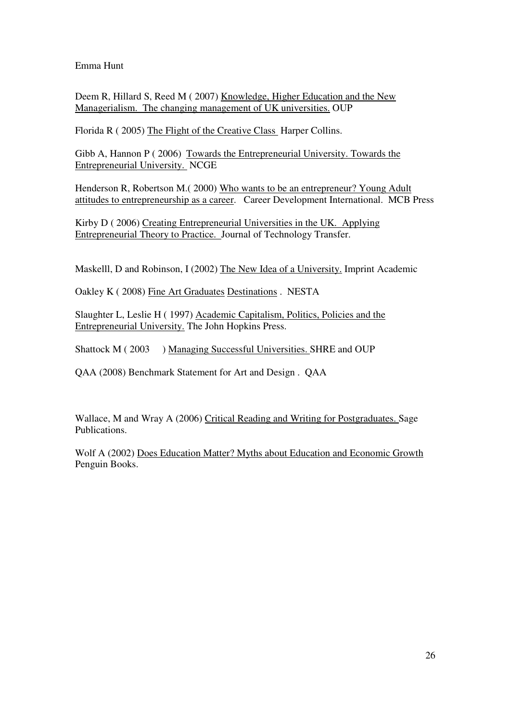Deem R, Hillard S, Reed M (2007) Knowledge, Higher Education and the New Managerialism. The changing management of UK universities. OUP

Florida R ( 2005) The Flight of the Creative Class Harper Collins.

Gibb A, Hannon P ( 2006) Towards the Entrepreneurial University. Towards the Entrepreneurial University. NCGE

Henderson R, Robertson M.( 2000) Who wants to be an entrepreneur? Young Adult attitudes to entrepreneurship as a career. Career Development International. MCB Press

Kirby D ( 2006) Creating Entrepreneurial Universities in the UK. Applying Entrepreneurial Theory to Practice. Journal of Technology Transfer.

Maskelll, D and Robinson, I (2002) The New Idea of a University. Imprint Academic

Oakley K ( 2008) Fine Art Graduates Destinations . NESTA

Slaughter L, Leslie H ( 1997) Academic Capitalism, Politics, Policies and the Entrepreneurial University. The John Hopkins Press.

Shattock M ( 2003 ) Managing Successful Universities. SHRE and OUP

QAA (2008) Benchmark Statement for Art and Design . QAA

Wallace, M and Wray A (2006) Critical Reading and Writing for Postgraduates. Sage Publications.

Wolf A (2002) Does Education Matter? Myths about Education and Economic Growth Penguin Books.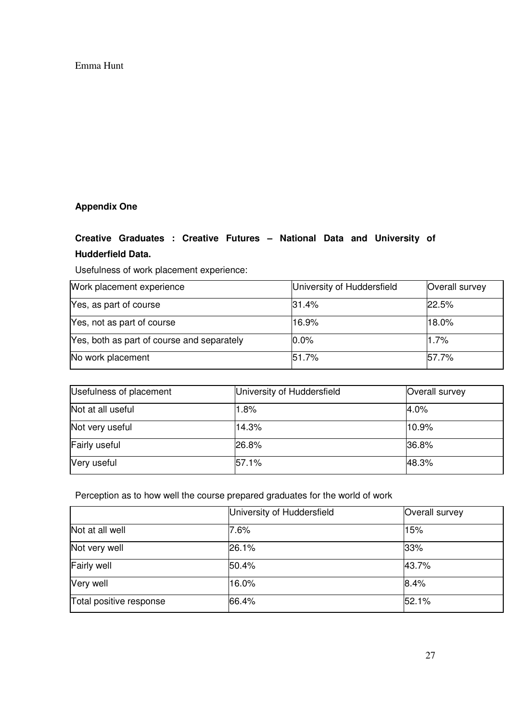# **Appendix One**

# **Creative Graduates : Creative Futures – National Data and University of**

# **Hudderfield Data.**

Usefulness of work placement experience:

| Work placement experience                  | University of Huddersfield | Overall survey |
|--------------------------------------------|----------------------------|----------------|
| Yes, as part of course                     | 31.4%                      | 22.5%          |
| Yes, not as part of course                 | 16.9%                      | 18.0%          |
| Yes, both as part of course and separately | 0.0%                       | 1.7%           |
| No work placement                          | 51.7%                      | 157.7%         |

| Usefulness of placement | University of Huddersfield | Overall survey |
|-------------------------|----------------------------|----------------|
| Not at all useful       | $1.8\%$                    | 4.0%           |
| Not very useful         | 14.3%                      | 10.9%          |
| Fairly useful           | 26.8%                      | 36.8%          |
| Very useful             | 57.1%                      | 48.3%          |

Perception as to how well the course prepared graduates for the world of work

|                         | University of Huddersfield | Overall survey |
|-------------------------|----------------------------|----------------|
| Not at all well         | 7.6%                       | 15%            |
| Not very well           | 26.1%                      | 33%            |
| <b>Fairly well</b>      | 50.4%                      | 43.7%          |
| Very well               | 16.0%                      | 8.4%           |
| Total positive response | 66.4%                      | 52.1%          |